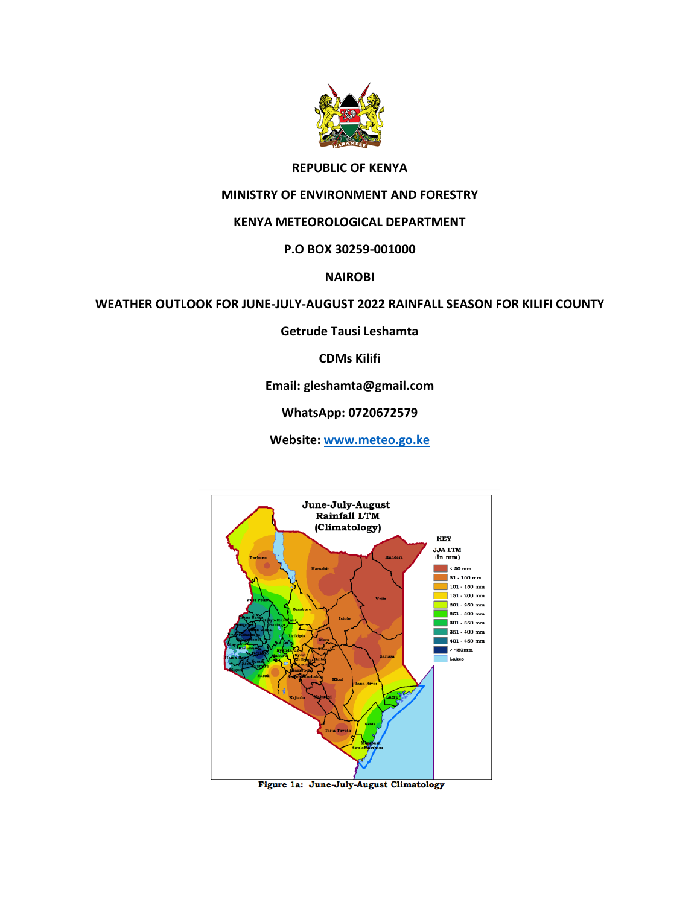

### **REPUBLIC OF KENYA**

### **MINISTRY OF ENVIRONMENT AND FORESTRY**

### **KENYA METEOROLOGICAL DEPARTMENT**

### **P.O BOX 30259-001000**

### **NAIROBI**

### **WEATHER OUTLOOK FOR JUNE-JULY-AUGUST 2022 RAINFALL SEASON FOR KILIFI COUNTY**

**Getrude Tausi Leshamta**

### **CDMs Kilifi**

### **Email: gleshamta@gmail.com**

## **WhatsApp: 0720672579**

**Website: [www.meteo.go.ke](http://www.meteo.go.ke/)**



Figure 1a: June-July-August Climatology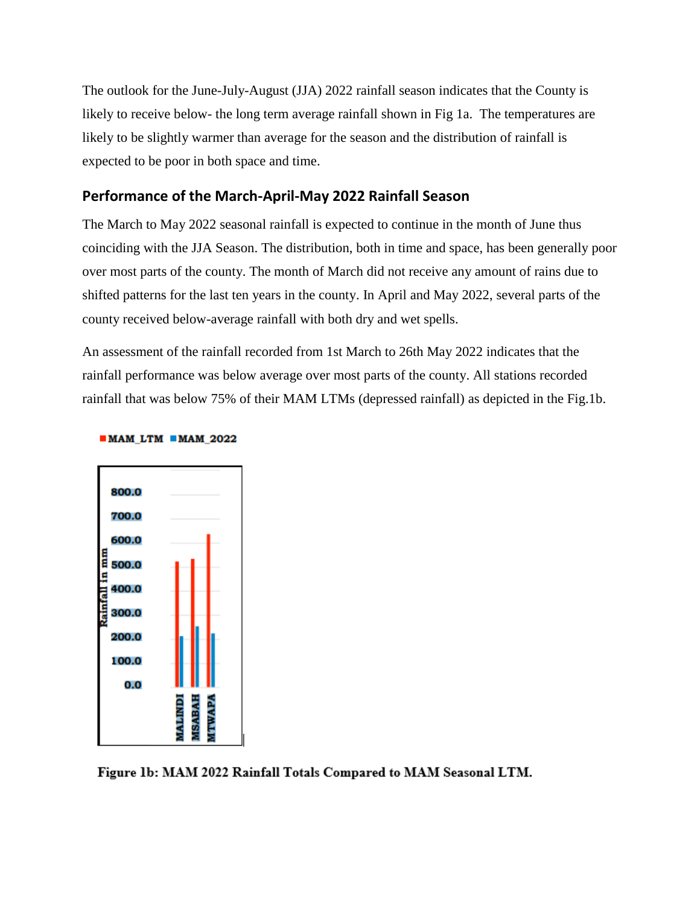The outlook for the June-July-August (JJA) 2022 rainfall season indicates that the County is likely to receive below- the long term average rainfall shown in Fig 1a. The temperatures are likely to be slightly warmer than average for the season and the distribution of rainfall is expected to be poor in both space and time.

# **Performance of the March-April-May 2022 Rainfall Season**

The March to May 2022 seasonal rainfall is expected to continue in the month of June thus coinciding with the JJA Season. The distribution, both in time and space, has been generally poor over most parts of the county. The month of March did not receive any amount of rains due to shifted patterns for the last ten years in the county. In April and May 2022, several parts of the county received below-average rainfall with both dry and wet spells.

An assessment of the rainfall recorded from 1st March to 26th May 2022 indicates that the rainfall performance was below average over most parts of the county. All stations recorded rainfall that was below 75% of their MAM LTMs (depressed rainfall) as depicted in the Fig.1b.



#### $MAM_LTM$   $MAM_2022$

Figure 1b: MAM 2022 Rainfall Totals Compared to MAM Seasonal LTM.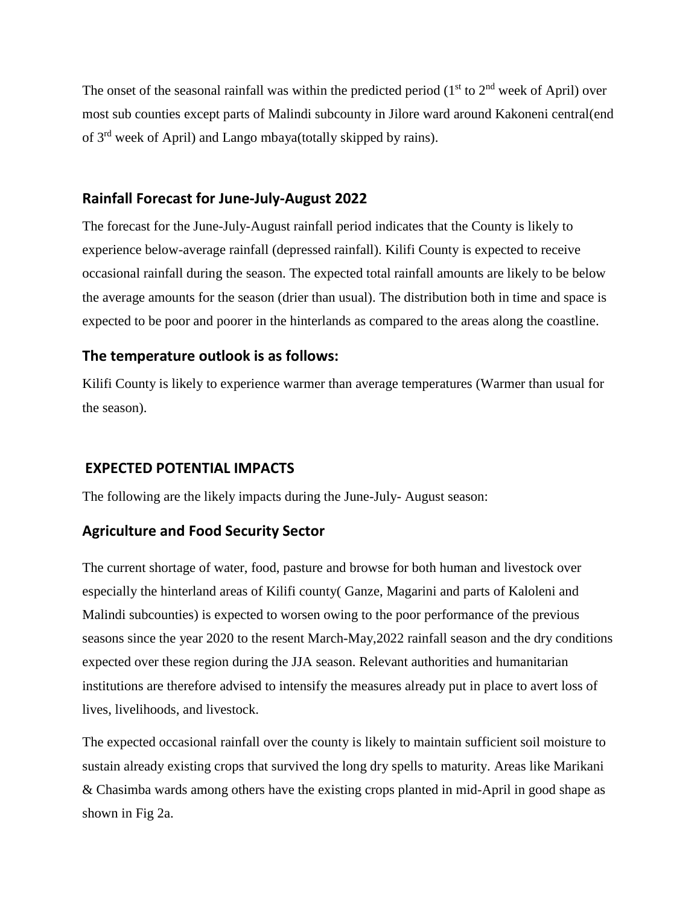The onset of the seasonal rainfall was within the predicted period  $(1<sup>st</sup>$  to  $2<sup>nd</sup>$  week of April) over most sub counties except parts of Malindi subcounty in Jilore ward around Kakoneni central(end of 3rd week of April) and Lango mbaya(totally skipped by rains).

## **Rainfall Forecast for June-July-August 2022**

The forecast for the June-July-August rainfall period indicates that the County is likely to experience below-average rainfall (depressed rainfall). Kilifi County is expected to receive occasional rainfall during the season. The expected total rainfall amounts are likely to be below the average amounts for the season (drier than usual). The distribution both in time and space is expected to be poor and poorer in the hinterlands as compared to the areas along the coastline.

# **The temperature outlook is as follows:**

Kilifi County is likely to experience warmer than average temperatures (Warmer than usual for the season).

# **EXPECTED POTENTIAL IMPACTS**

The following are the likely impacts during the June-July- August season:

## **Agriculture and Food Security Sector**

The current shortage of water, food, pasture and browse for both human and livestock over especially the hinterland areas of Kilifi county( Ganze, Magarini and parts of Kaloleni and Malindi subcounties) is expected to worsen owing to the poor performance of the previous seasons since the year 2020 to the resent March-May,2022 rainfall season and the dry conditions expected over these region during the JJA season. Relevant authorities and humanitarian institutions are therefore advised to intensify the measures already put in place to avert loss of lives, livelihoods, and livestock.

The expected occasional rainfall over the county is likely to maintain sufficient soil moisture to sustain already existing crops that survived the long dry spells to maturity. Areas like Marikani & Chasimba wards among others have the existing crops planted in mid-April in good shape as shown in Fig 2a.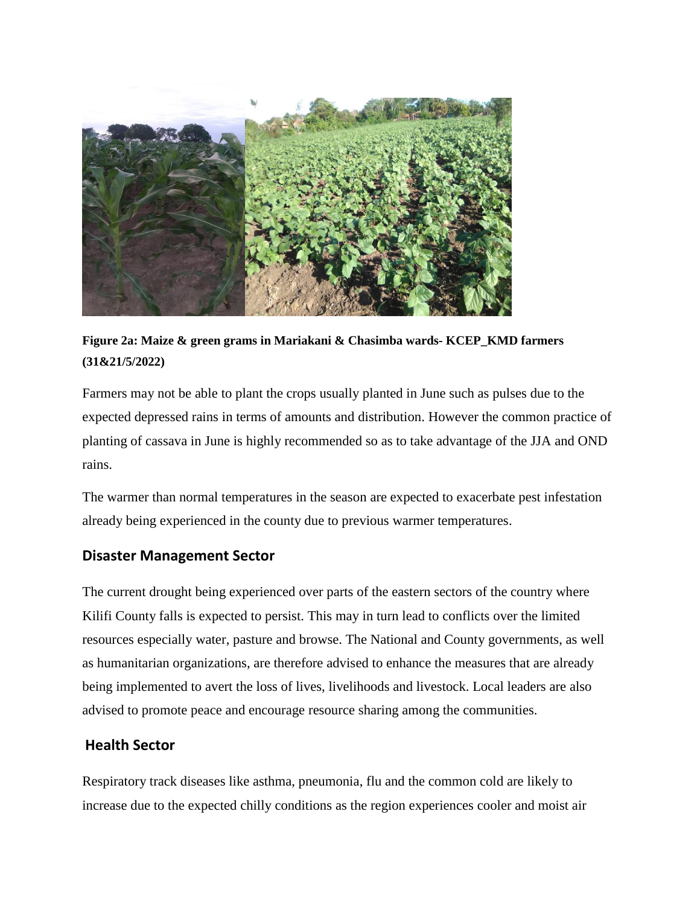

**Figure 2a: Maize & green grams in Mariakani & Chasimba wards- KCEP\_KMD farmers (31&21/5/2022)**

Farmers may not be able to plant the crops usually planted in June such as pulses due to the expected depressed rains in terms of amounts and distribution. However the common practice of planting of cassava in June is highly recommended so as to take advantage of the JJA and OND rains.

The warmer than normal temperatures in the season are expected to exacerbate pest infestation already being experienced in the county due to previous warmer temperatures.

## **Disaster Management Sector**

The current drought being experienced over parts of the eastern sectors of the country where Kilifi County falls is expected to persist. This may in turn lead to conflicts over the limited resources especially water, pasture and browse. The National and County governments, as well as humanitarian organizations, are therefore advised to enhance the measures that are already being implemented to avert the loss of lives, livelihoods and livestock. Local leaders are also advised to promote peace and encourage resource sharing among the communities.

## **Health Sector**

Respiratory track diseases like asthma, pneumonia, flu and the common cold are likely to increase due to the expected chilly conditions as the region experiences cooler and moist air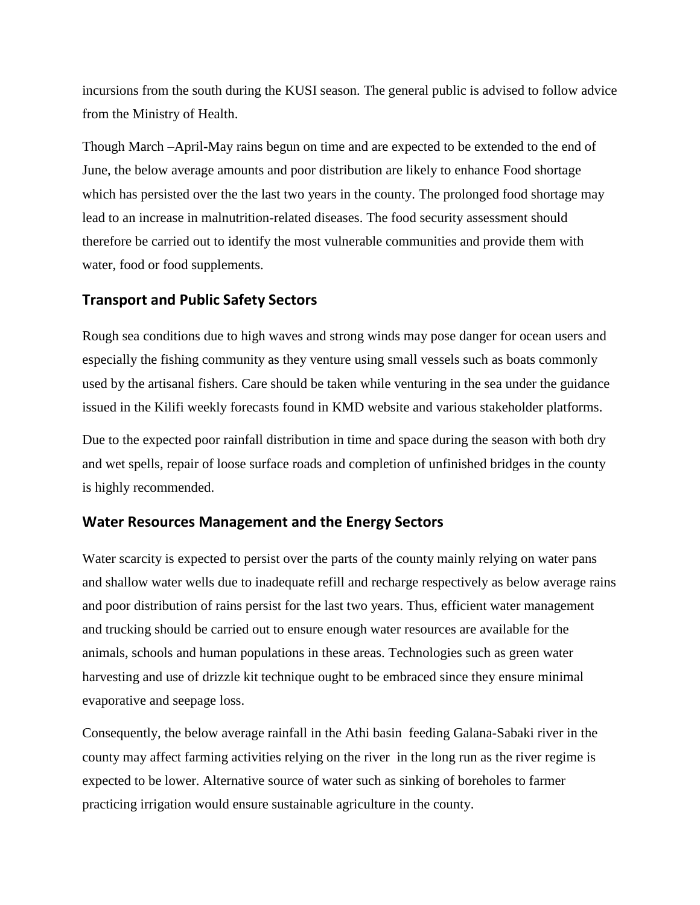incursions from the south during the KUSI season. The general public is advised to follow advice from the Ministry of Health.

Though March –April-May rains begun on time and are expected to be extended to the end of June, the below average amounts and poor distribution are likely to enhance Food shortage which has persisted over the the last two years in the county. The prolonged food shortage may lead to an increase in malnutrition-related diseases. The food security assessment should therefore be carried out to identify the most vulnerable communities and provide them with water, food or food supplements.

## **Transport and Public Safety Sectors**

Rough sea conditions due to high waves and strong winds may pose danger for ocean users and especially the fishing community as they venture using small vessels such as boats commonly used by the artisanal fishers. Care should be taken while venturing in the sea under the guidance issued in the Kilifi weekly forecasts found in KMD website and various stakeholder platforms.

Due to the expected poor rainfall distribution in time and space during the season with both dry and wet spells, repair of loose surface roads and completion of unfinished bridges in the county is highly recommended.

## **Water Resources Management and the Energy Sectors**

Water scarcity is expected to persist over the parts of the county mainly relying on water pans and shallow water wells due to inadequate refill and recharge respectively as below average rains and poor distribution of rains persist for the last two years. Thus, efficient water management and trucking should be carried out to ensure enough water resources are available for the animals, schools and human populations in these areas. Technologies such as green water harvesting and use of drizzle kit technique ought to be embraced since they ensure minimal evaporative and seepage loss.

Consequently, the below average rainfall in the Athi basin feeding Galana-Sabaki river in the county may affect farming activities relying on the river in the long run as the river regime is expected to be lower. Alternative source of water such as sinking of boreholes to farmer practicing irrigation would ensure sustainable agriculture in the county.